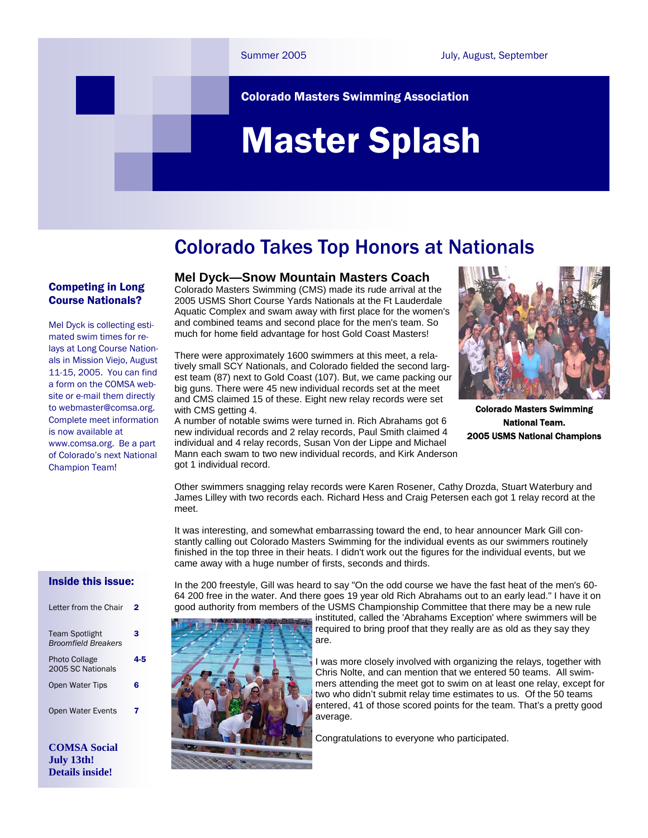#### Colorado Masters Swimming Association

# Master Splash

### Colorado Takes Top Honors at Nationals

#### Competing in Long Course Nationals?

Mel Dyck is collecting estimated swim times for relays at Long Course Nationals in Mission Viejo, August 11-15, 2005. You can find a form on the COMSA website or e-mail them directly to webmaster@comsa.org. Complete meet information is now available at www.comsa.org. Be a part of Colorado's next National Champion Team!

**Mel Dyck—Snow Mountain Masters Coach** 

Colorado Masters Swimming (CMS) made its rude arrival at the 2005 USMS Short Course Yards Nationals at the Ft Lauderdale Aquatic Complex and swam away with first place for the women's and combined teams and second place for the men's team. So much for home field advantage for host Gold Coast Masters!

There were approximately 1600 swimmers at this meet, a relatively small SCY Nationals, and Colorado fielded the second largest team (87) next to Gold Coast (107). But, we came packing our big guns. There were 45 new individual records set at the meet and CMS claimed 15 of these. Eight new relay records were set with CMS getting 4.

A number of notable swims were turned in. Rich Abrahams got 6 new individual records and 2 relay records, Paul Smith claimed 4 individual and 4 relay records, Susan Von der Lippe and Michael Mann each swam to two new individual records, and Kirk Anderson got 1 individual record.



Colorado Masters Swimming National Team. 2005 USMS National Champions

Other swimmers snagging relay records were Karen Rosener, Cathy Drozda, Stuart Waterbury and James Lilley with two records each. Richard Hess and Craig Petersen each got 1 relay record at the meet.

It was interesting, and somewhat embarrassing toward the end, to hear announcer Mark Gill constantly calling out Colorado Masters Swimming for the individual events as our swimmers routinely finished in the top three in their heats. I didn't work out the figures for the individual events, but we came away with a huge number of firsts, seconds and thirds.

In the 200 freestyle, Gill was heard to say "On the odd course we have the fast heat of the men's 60- 64 200 free in the water. And there goes 19 year old Rich Abrahams out to an early lead." I have it on good authority from members of the USMS Championship Committee that there may be a new rule

> instituted, called the 'Abrahams Exception' where swimmers will be required to bring proof that they really are as old as they say they are.

I was more closely involved with organizing the relays, together with Chris Nolte, and can mention that we entered 50 teams. All swimmers attending the meet got to swim on at least one relay, except for two who didn't submit relay time estimates to us. Of the 50 teams entered, 41 of those scored points for the team. That's a pretty good average.

Congratulations to everyone who participated.

#### Inside this issue:

| Letter from the Chair                               |   |
|-----------------------------------------------------|---|
| <b>Team Spotlight</b><br><b>Broomfield Breakers</b> | з |
| <b>Photo Collage</b><br>2005 SC Nationals           |   |
| Open Water Tips                                     | 6 |
| Open Water Events                                   | 7 |
|                                                     |   |

**COMSA Social July 13th! Details inside!** 

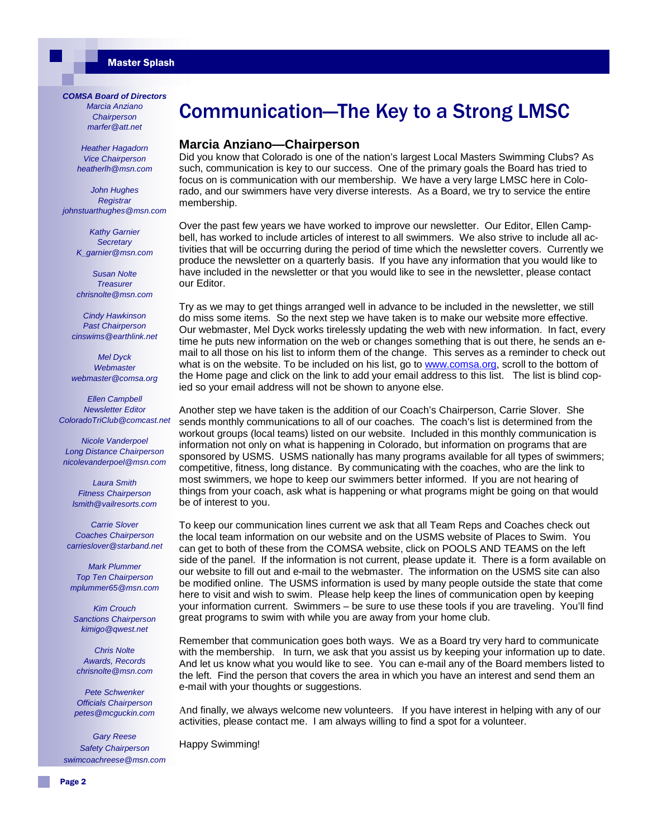#### *COMSA Board of Directors*

*Marcia Anziano Chairperson marfer@att.net* 

*Heather Hagadorn Vice Chairperson heatherlh@msn.com* 

*John Hughes Registrar johnstuarthughes@msn.com* 

> *Kathy Garnier Secretary K\_garnier@msn.com*

> *Susan Nolte Treasurer chrisnolte@msn.com*

*Cindy Hawkinson Past Chairperson cinswims@earthlink.net* 

*Mel Dyck Webmaster webmaster@comsa.org* 

*Ellen Campbell Newsletter Editor ColoradoTriClub@comcast.net* 

*Nicole Vanderpoel Long Distance Chairperson nicolevanderpoel@msn.com* 

*Laura Smith Fitness Chairperson lsmith@vailresorts.com* 

*Carrie Slover Coaches Chairperson carrieslover@starband.net* 

*Mark Plummer Top Ten Chairperson mplummer65@msn.com* 

*Kim Crouch Sanctions Chairperson kimigo@qwest.net* 

*Chris Nolte Awards, Records chrisnolte@msn.com* 

*Pete Schwenker Officials Chairperson petes@mcguckin.com* 

*Gary Reese Safety Chairperson swimcoachreese@msn.com*

### Communication—The Key to a Strong LMSC

#### **Marcia Anziano—Chairperson**

Did you know that Colorado is one of the nation's largest Local Masters Swimming Clubs? As such, communication is key to our success. One of the primary goals the Board has tried to focus on is communication with our membership. We have a very large LMSC here in Colorado, and our swimmers have very diverse interests. As a Board, we try to service the entire membership.

Over the past few years we have worked to improve our newsletter. Our Editor, Ellen Campbell, has worked to include articles of interest to all swimmers. We also strive to include all activities that will be occurring during the period of time which the newsletter covers. Currently we produce the newsletter on a quarterly basis. If you have any information that you would like to have included in the newsletter or that you would like to see in the newsletter, please contact our Editor.

Try as we may to get things arranged well in advance to be included in the newsletter, we still do miss some items. So the next step we have taken is to make our website more effective. Our webmaster, Mel Dyck works tirelessly updating the web with new information. In fact, every time he puts new information on the web or changes something that is out there, he sends an email to all those on his list to inform them of the change. This serves as a reminder to check out what is on the website. To be included on his list, go to www.comsa.org, scroll to the bottom of the Home page and click on the link to add your email address to this list. The list is blind copied so your email address will not be shown to anyone else.

Another step we have taken is the addition of our Coach's Chairperson, Carrie Slover. She sends monthly communications to all of our coaches. The coach's list is determined from the workout groups (local teams) listed on our website. Included in this monthly communication is information not only on what is happening in Colorado, but information on programs that are sponsored by USMS. USMS nationally has many programs available for all types of swimmers; competitive, fitness, long distance. By communicating with the coaches, who are the link to most swimmers, we hope to keep our swimmers better informed. If you are not hearing of things from your coach, ask what is happening or what programs might be going on that would be of interest to you.

To keep our communication lines current we ask that all Team Reps and Coaches check out the local team information on our website and on the USMS website of Places to Swim. You can get to both of these from the COMSA website, click on POOLS AND TEAMS on the left side of the panel. If the information is not current, please update it. There is a form available on our website to fill out and e-mail to the webmaster. The information on the USMS site can also be modified online. The USMS information is used by many people outside the state that come here to visit and wish to swim. Please help keep the lines of communication open by keeping your information current. Swimmers – be sure to use these tools if you are traveling. You'll find great programs to swim with while you are away from your home club.

Remember that communication goes both ways. We as a Board try very hard to communicate with the membership. In turn, we ask that you assist us by keeping your information up to date. And let us know what you would like to see. You can e-mail any of the Board members listed to the left. Find the person that covers the area in which you have an interest and send them an e-mail with your thoughts or suggestions.

And finally, we always welcome new volunteers. If you have interest in helping with any of our activities, please contact me. I am always willing to find a spot for a volunteer.

Happy Swimming!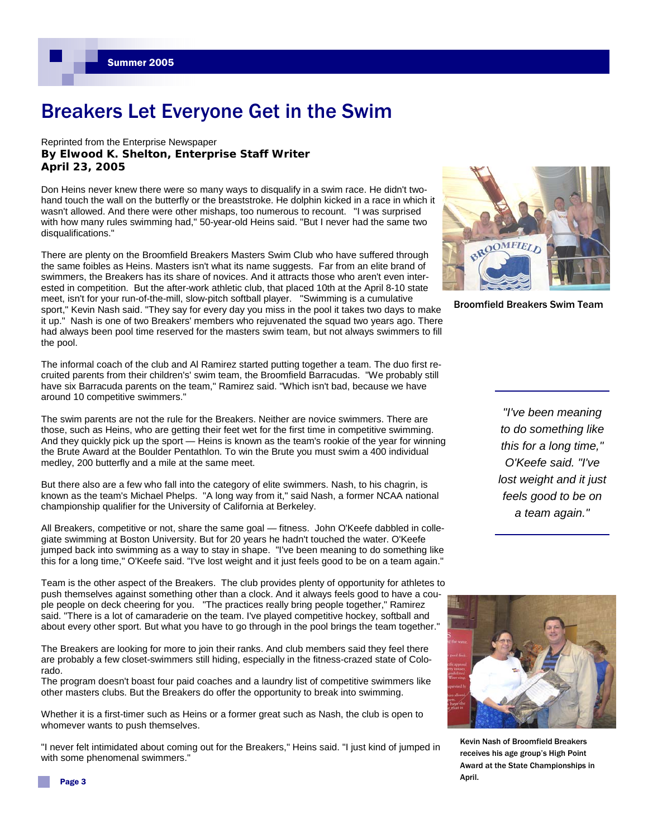### Breakers Let Everyone Get in the Swim

#### Reprinted from the Enterprise Newspaper **By Elwood K. Shelton, Enterprise Staff Writer April 23, 2005**

Don Heins never knew there were so many ways to disqualify in a swim race. He didn't twohand touch the wall on the butterfly or the breaststroke. He dolphin kicked in a race in which it wasn't allowed. And there were other mishaps, too numerous to recount. "I was surprised with how many rules swimming had," 50-year-old Heins said. "But I never had the same two disqualifications."

There are plenty on the Broomfield Breakers Masters Swim Club who have suffered through the same foibles as Heins. Masters isn't what its name suggests. Far from an elite brand of swimmers, the Breakers has its share of novices. And it attracts those who aren't even interested in competition. But the after-work athletic club, that placed 10th at the April 8-10 state meet, isn't for your run-of-the-mill, slow-pitch softball player. "Swimming is a cumulative sport," Kevin Nash said. "They say for every day you miss in the pool it takes two days to make it up." Nash is one of two Breakers' members who rejuvenated the squad two years ago. There had always been pool time reserved for the masters swim team, but not always swimmers to fill the pool.

The informal coach of the club and Al Ramirez started putting together a team. The duo first recruited parents from their children's' swim team, the Broomfield Barracudas. "We probably still have six Barracuda parents on the team," Ramirez said. "Which isn't bad, because we have around 10 competitive swimmers."

The swim parents are not the rule for the Breakers. Neither are novice swimmers. There are those, such as Heins, who are getting their feet wet for the first time in competitive swimming. And they quickly pick up the sport — Heins is known as the team's rookie of the year for winning the Brute Award at the Boulder Pentathlon. To win the Brute you must swim a 400 individual medley, 200 butterfly and a mile at the same meet.

But there also are a few who fall into the category of elite swimmers. Nash, to his chagrin, is known as the team's Michael Phelps. "A long way from it," said Nash, a former NCAA national championship qualifier for the University of California at Berkeley.

All Breakers, competitive or not, share the same goal — fitness. John O'Keefe dabbled in collegiate swimming at Boston University. But for 20 years he hadn't touched the water. O'Keefe jumped back into swimming as a way to stay in shape. "I've been meaning to do something like this for a long time," O'Keefe said. "I've lost weight and it just feels good to be on a team again."

Team is the other aspect of the Breakers. The club provides plenty of opportunity for athletes to push themselves against something other than a clock. And it always feels good to have a couple people on deck cheering for you. "The practices really bring people together," Ramirez said. "There is a lot of camaraderie on the team. I've played competitive hockey, softball and about every other sport. But what you have to go through in the pool brings the team together."

The Breakers are looking for more to join their ranks. And club members said they feel there are probably a few closet-swimmers still hiding, especially in the fitness-crazed state of Colorado.

The program doesn't boast four paid coaches and a laundry list of competitive swimmers like other masters clubs. But the Breakers do offer the opportunity to break into swimming.

Whether it is a first-timer such as Heins or a former great such as Nash, the club is open to whomever wants to push themselves.

"I never felt intimidated about coming out for the Breakers," Heins said. "I just kind of jumped in with some phenomenal swimmers."



Broomfield Breakers Swim Team

*"I've been meaning to do something like this for a long time," O'Keefe said. "I've lost weight and it just feels good to be on a team again."* 



Kevin Nash of Broomfield Breakers receives his age group's High Point Award at the State Championships in April.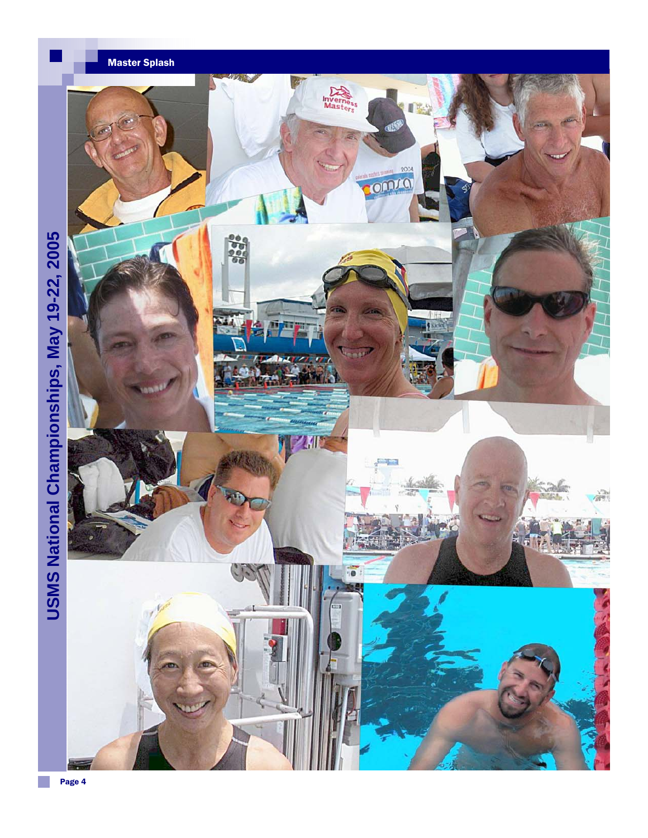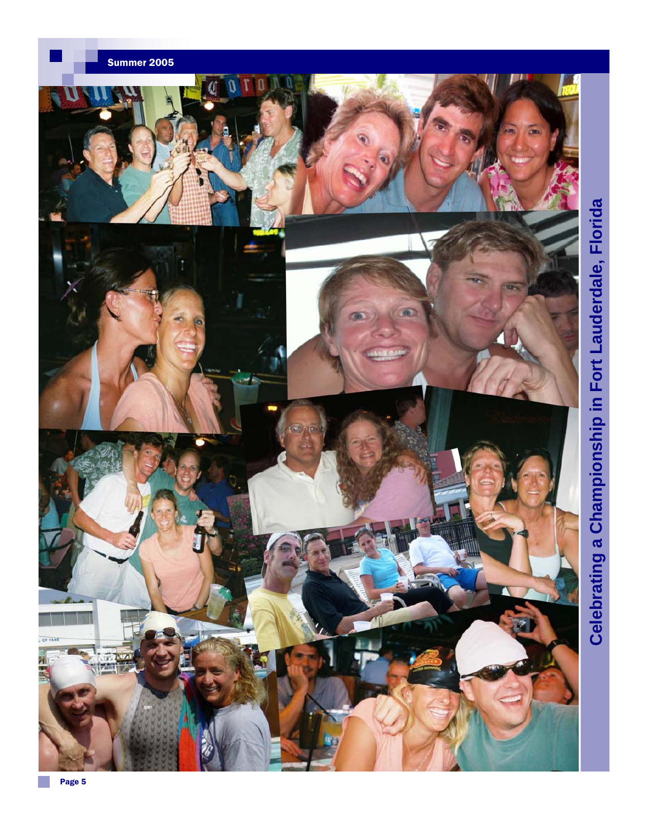

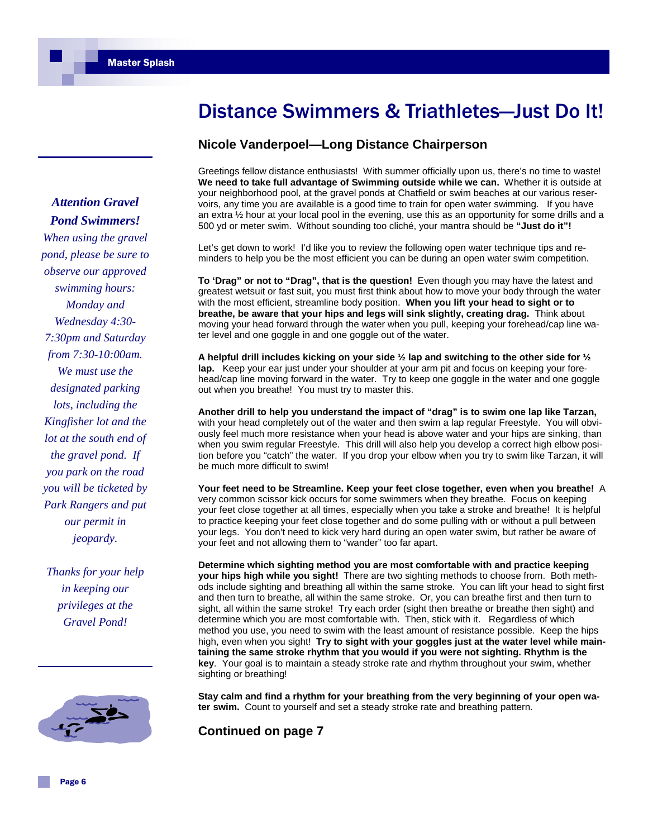*Pond Swimmers! When using the gravel pond, please be sure to observe our approved swimming hours: Monday and Wednesday 4:30- 7:30pm and Saturday from 7:30-10:00am. We must use the designated parking lots, including the Kingfisher lot and the lot at the south end of the gravel pond. If you park on the road you will be ticketed by Park Rangers and put our permit in jeopardy.* 

*Attention Gravel* 

*Thanks for your help in keeping our privileges at the Gravel Pond!* 



### Distance Swimmers & Triathletes—Just Do It!

#### **Nicole Vanderpoel—Long Distance Chairperson**

Greetings fellow distance enthusiasts! With summer officially upon us, there's no time to waste! **We need to take full advantage of Swimming outside while we can.** Whether it is outside at your neighborhood pool, at the gravel ponds at Chatfield or swim beaches at our various reservoirs, any time you are available is a good time to train for open water swimming. If you have an extra ½ hour at your local pool in the evening, use this as an opportunity for some drills and a 500 yd or meter swim. Without sounding too cliché, your mantra should be **"Just do it"!**

Let's get down to work! I'd like you to review the following open water technique tips and reminders to help you be the most efficient you can be during an open water swim competition.

**To 'Drag" or not to "Drag", that is the question!** Even though you may have the latest and greatest wetsuit or fast suit, you must first think about how to move your body through the water with the most efficient, streamline body position. **When you lift your head to sight or to breathe, be aware that your hips and legs will sink slightly, creating drag.** Think about moving your head forward through the water when you pull, keeping your forehead/cap line water level and one goggle in and one goggle out of the water.

**A helpful drill includes kicking on your side ½ lap and switching to the other side for ½ lap.** Keep your ear just under your shoulder at your arm pit and focus on keeping your forehead/cap line moving forward in the water. Try to keep one goggle in the water and one goggle out when you breathe! You must try to master this.

**Another drill to help you understand the impact of "drag" is to swim one lap like Tarzan,** with your head completely out of the water and then swim a lap regular Freestyle. You will obviously feel much more resistance when your head is above water and your hips are sinking, than when you swim regular Freestyle. This drill will also help you develop a correct high elbow position before you "catch" the water. If you drop your elbow when you try to swim like Tarzan, it will be much more difficult to swim!

**Your feet need to be Streamline. Keep your feet close together, even when you breathe!** A very common scissor kick occurs for some swimmers when they breathe. Focus on keeping your feet close together at all times, especially when you take a stroke and breathe! It is helpful to practice keeping your feet close together and do some pulling with or without a pull between your legs. You don't need to kick very hard during an open water swim, but rather be aware of your feet and not allowing them to "wander" too far apart.

**Determine which sighting method you are most comfortable with and practice keeping your hips high while you sight!** There are two sighting methods to choose from. Both methods include sighting and breathing all within the same stroke. You can lift your head to sight first and then turn to breathe, all within the same stroke. Or, you can breathe first and then turn to sight, all within the same stroke! Try each order (sight then breathe or breathe then sight) and determine which you are most comfortable with. Then, stick with it. Regardless of which method you use, you need to swim with the least amount of resistance possible. Keep the hips high, even when you sight! **Try to sight with your goggles just at the water level while maintaining the same stroke rhythm that you would if you were not sighting. Rhythm is the key**. Your goal is to maintain a steady stroke rate and rhythm throughout your swim, whether sighting or breathing!

**Stay calm and find a rhythm for your breathing from the very beginning of your open water swim.** Count to yourself and set a steady stroke rate and breathing pattern.

**Continued on page 7**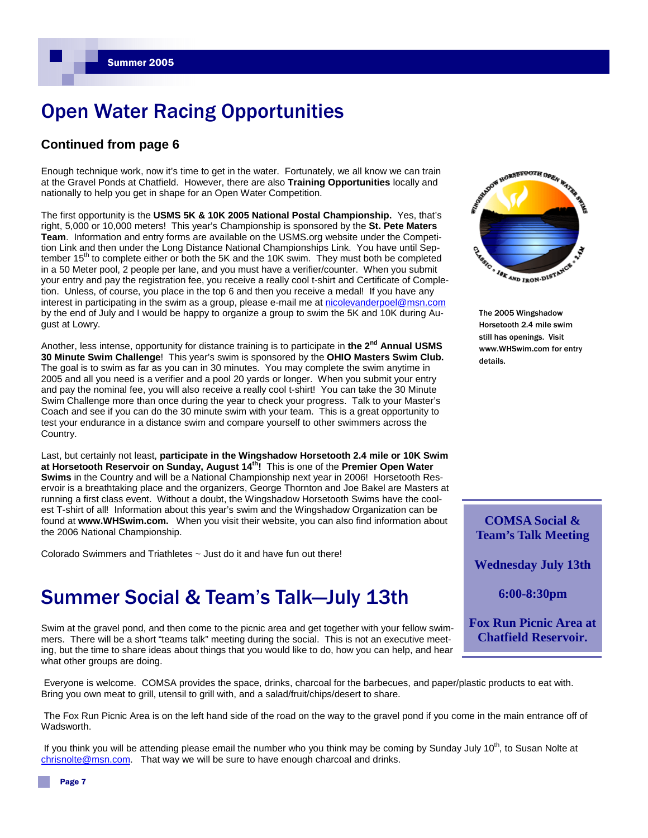### Open Water Racing Opportunities

#### **Continued from page 6**

Enough technique work, now it's time to get in the water. Fortunately, we all know we can train at the Gravel Ponds at Chatfield. However, there are also **Training Opportunities** locally and nationally to help you get in shape for an Open Water Competition.

The first opportunity is the **USMS 5K & 10K 2005 National Postal Championship.** Yes, that's right, 5,000 or 10,000 meters! This year's Championship is sponsored by the **St. Pete Maters Team**. Information and entry forms are available on the USMS.org website under the Competition Link and then under the Long Distance National Championships Link. You have until September 15<sup>th</sup> to complete either or both the 5K and the 10K swim. They must both be completed in a 50 Meter pool, 2 people per lane, and you must have a verifier/counter. When you submit your entry and pay the registration fee, you receive a really cool t-shirt and Certificate of Completion. Unless, of course, you place in the top 6 and then you receive a medal! If you have any interest in participating in the swim as a group, please e-mail me at nicolevanderpoel@msn.com by the end of July and I would be happy to organize a group to swim the 5K and 10K during August at Lowry.

Another, less intense, opportunity for distance training is to participate in **the 2nd Annual USMS 30 Minute Swim Challenge**! This year's swim is sponsored by the **OHIO Masters Swim Club.** The goal is to swim as far as you can in 30 minutes. You may complete the swim anytime in 2005 and all you need is a verifier and a pool 20 yards or longer. When you submit your entry and pay the nominal fee, you will also receive a really cool t-shirt! You can take the 30 Minute Swim Challenge more than once during the year to check your progress. Talk to your Master's Coach and see if you can do the 30 minute swim with your team. This is a great opportunity to test your endurance in a distance swim and compare yourself to other swimmers across the Country.

Last, but certainly not least, **participate in the Wingshadow Horsetooth 2.4 mile or 10K Swim at Horsetooth Reservoir on Sunday, August 14th!** This is one of the **Premier Open Water Swims** in the Country and will be a National Championship next year in 2006! Horsetooth Reservoir is a breathtaking place and the organizers, George Thornton and Joe Bakel are Masters at running a first class event. Without a doubt, the Wingshadow Horsetooth Swims have the coolest T-shirt of all! Information about this year's swim and the Wingshadow Organization can be found at **www.WHSwim.com.** When you visit their website, you can also find information about the 2006 National Championship.

Colorado Swimmers and Triathletes ~ Just do it and have fun out there!

### Summer Social & Team's Talk—July 13th

Swim at the gravel pond, and then come to the picnic area and get together with your fellow swimmers. There will be a short "teams talk" meeting during the social. This is not an executive meeting, but the time to share ideas about things that you would like to do, how you can help, and hear what other groups are doing.

Everyone is welcome. COMSA provides the space, drinks, charcoal for the barbecues, and paper/plastic products to eat with. Bring you own meat to grill, utensil to grill with, and a salad/fruit/chips/desert to share.

The Fox Run Picnic Area is on the left hand side of the road on the way to the gravel pond if you come in the main entrance off of Wadsworth.

If you think you will be attending please email the number who you think may be coming by Sunday July 10<sup>th</sup>, to Susan Nolte at chrisnolte@msn.com. That way we will be sure to have enough charcoal and drinks.



The 2005 Wingshadow Horsetooth 2.4 mile swim still has openings. Visit www.WHSwim.com for entry details.

**COMSA Social & Team's Talk Meeting** 

**Wednesday July 13th** 

**6:00-8:30pm** 

**Fox Run Picnic Area at Chatfield Reservoir.**